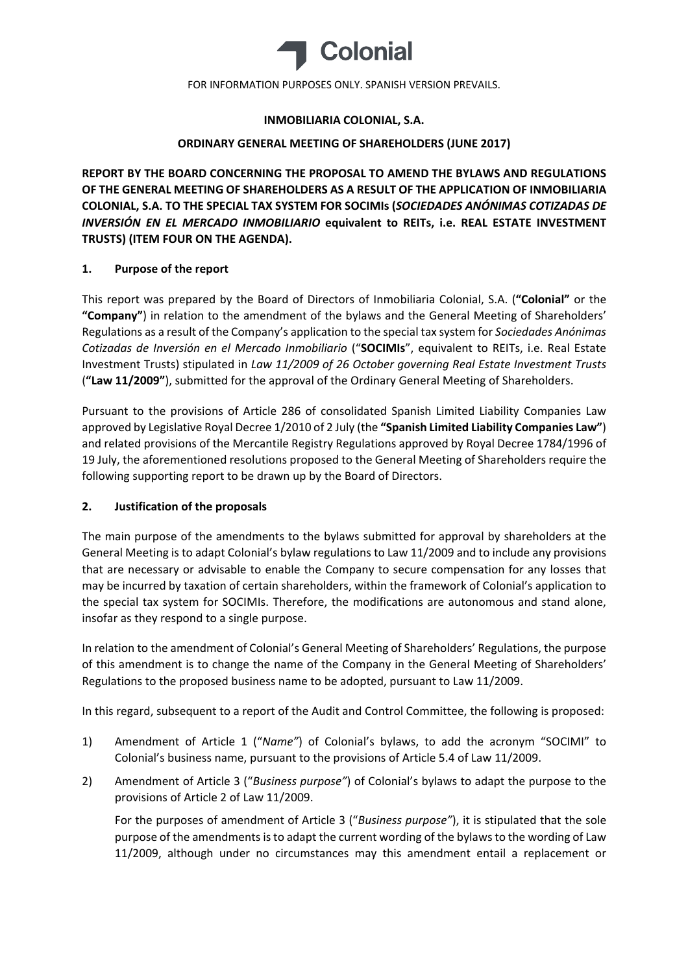

# **INMOBILIARIA COLONIAL, S.A.**

# **ORDINARY GENERAL MEETING OF SHAREHOLDERS (JUNE 2017)**

**REPORT BY THE BOARD CONCERNING THE PROPOSAL TO AMEND THE BYLAWS AND REGULATIONS OF THE GENERAL MEETING OF SHAREHOLDERS AS A RESULT OF THE APPLICATION OF INMOBILIARIA COLONIAL, S.A. TO THE SPECIAL TAX SYSTEM FOR SOCIMIs (***SOCIEDADES ANÓNIMAS COTIZADAS DE INVERSIÓN EN EL MERCADO INMOBILIARIO* **equivalent to REITs, i.e. REAL ESTATE INVESTMENT TRUSTS) (ITEM FOUR ON THE AGENDA).**

# **1. Purpose of the report**

This report was prepared by the Board of Directors of Inmobiliaria Colonial, S.A. (**"Colonial"** or the **"Company"**) in relation to the amendment of the bylaws and the General Meeting of Shareholders' Regulations as a result of the Company's application to the special tax system for *Sociedades Anónimas Cotizadas de Inversión en el Mercado Inmobiliario* ("**SOCIMIs**", equivalent to REITs, i.e. Real Estate Investment Trusts) stipulated in *Law 11/2009 of 26 October governing Real Estate Investment Trusts* (**"Law 11/2009"**), submitted for the approval of the Ordinary General Meeting of Shareholders.

Pursuant to the provisions of Article 286 of consolidated Spanish Limited Liability Companies Law approved by Legislative Royal Decree 1/2010 of 2 July (the **"Spanish Limited Liability Companies Law"**) and related provisions of the Mercantile Registry Regulations approved by Royal Decree 1784/1996 of 19 July, the aforementioned resolutions proposed to the General Meeting of Shareholders require the following supporting report to be drawn up by the Board of Directors.

# **2. Justification of the proposals**

The main purpose of the amendments to the bylaws submitted for approval by shareholders at the General Meeting is to adapt Colonial's bylaw regulations to Law 11/2009 and to include any provisions that are necessary or advisable to enable the Company to secure compensation for any losses that may be incurred by taxation of certain shareholders, within the framework of Colonial's application to the special tax system for SOCIMIs. Therefore, the modifications are autonomous and stand alone, insofar as they respond to a single purpose.

In relation to the amendment of Colonial's General Meeting of Shareholders' Regulations, the purpose of this amendment is to change the name of the Company in the General Meeting of Shareholders' Regulations to the proposed business name to be adopted, pursuant to Law 11/2009.

In this regard, subsequent to a report of the Audit and Control Committee, the following is proposed:

- 1) Amendment of Article 1 ("*Name"*) of Colonial's bylaws, to add the acronym "SOCIMI" to Colonial's business name, pursuant to the provisions of Article 5.4 of Law 11/2009.
- 2) Amendment of Article 3 ("*Business purpose"*) of Colonial's bylaws to adapt the purpose to the provisions of Article 2 of Law 11/2009.

For the purposes of amendment of Article 3 ("*Business purpose"*), it is stipulated that the sole purpose of the amendments is to adapt the current wording of the bylaws to the wording of Law 11/2009, although under no circumstances may this amendment entail a replacement or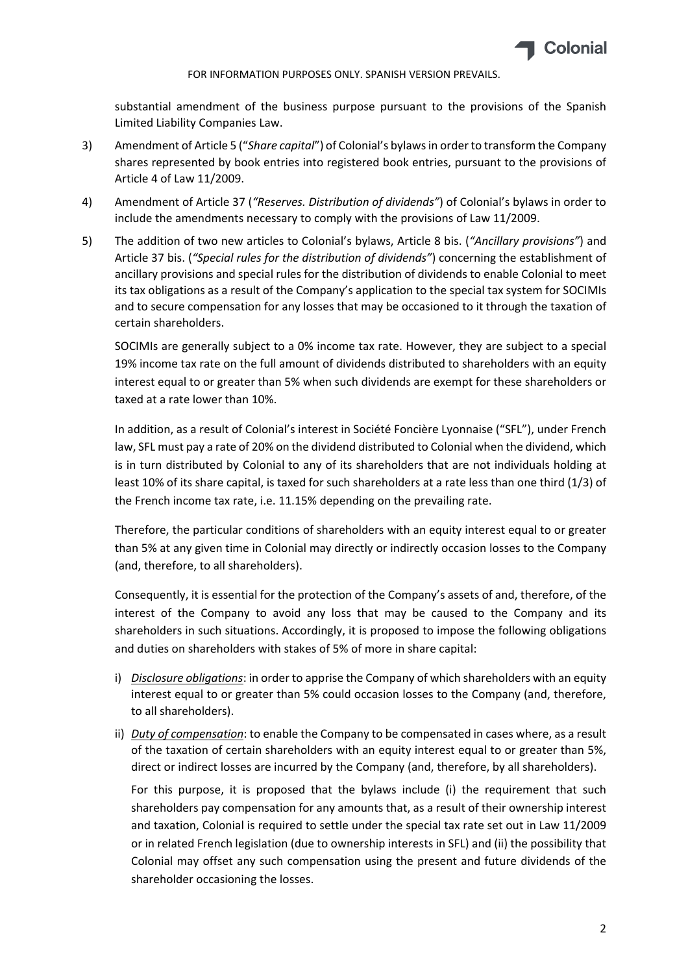

substantial amendment of the business purpose pursuant to the provisions of the Spanish Limited Liability Companies Law.

- 3) Amendment of Article 5 ("*Share capital*") of Colonial's bylawsin order to transform the Company shares represented by book entries into registered book entries, pursuant to the provisions of Article 4 of Law 11/2009.
- 4) Amendment of Article 37 (*"Reserves. Distribution of dividends"*) of Colonial's bylaws in order to include the amendments necessary to comply with the provisions of Law 11/2009.
- 5) The addition of two new articles to Colonial's bylaws, Article 8 bis. (*"Ancillary provisions"*) and Article 37 bis. (*"Special rules for the distribution of dividends"*) concerning the establishment of ancillary provisions and special rules for the distribution of dividends to enable Colonial to meet its tax obligations as a result of the Company's application to the special tax system for SOCIMIs and to secure compensation for any losses that may be occasioned to it through the taxation of certain shareholders.

SOCIMIs are generally subject to a 0% income tax rate. However, they are subject to a special 19% income tax rate on the full amount of dividends distributed to shareholders with an equity interest equal to or greater than 5% when such dividends are exempt for these shareholders or taxed at a rate lower than 10%.

In addition, as a result of Colonial's interest in Société Foncière Lyonnaise ("SFL"), under French law, SFL must pay a rate of 20% on the dividend distributed to Colonial when the dividend, which is in turn distributed by Colonial to any of its shareholders that are not individuals holding at least 10% of its share capital, is taxed for such shareholders at a rate less than one third (1/3) of the French income tax rate, i.e. 11.15% depending on the prevailing rate.

Therefore, the particular conditions of shareholders with an equity interest equal to or greater than 5% at any given time in Colonial may directly or indirectly occasion losses to the Company (and, therefore, to all shareholders).

Consequently, it is essential for the protection of the Company's assets of and, therefore, of the interest of the Company to avoid any loss that may be caused to the Company and its shareholders in such situations. Accordingly, it is proposed to impose the following obligations and duties on shareholders with stakes of 5% of more in share capital:

- i) *Disclosure obligations*: in order to apprise the Company of which shareholders with an equity interest equal to or greater than 5% could occasion losses to the Company (and, therefore, to all shareholders).
- ii) *Duty of compensation*: to enable the Company to be compensated in cases where, as a result of the taxation of certain shareholders with an equity interest equal to or greater than 5%, direct or indirect losses are incurred by the Company (and, therefore, by all shareholders).

For this purpose, it is proposed that the bylaws include (i) the requirement that such shareholders pay compensation for any amounts that, as a result of their ownership interest and taxation, Colonial is required to settle under the special tax rate set out in Law 11/2009 or in related French legislation (due to ownership interests in SFL) and (ii) the possibility that Colonial may offset any such compensation using the present and future dividends of the shareholder occasioning the losses.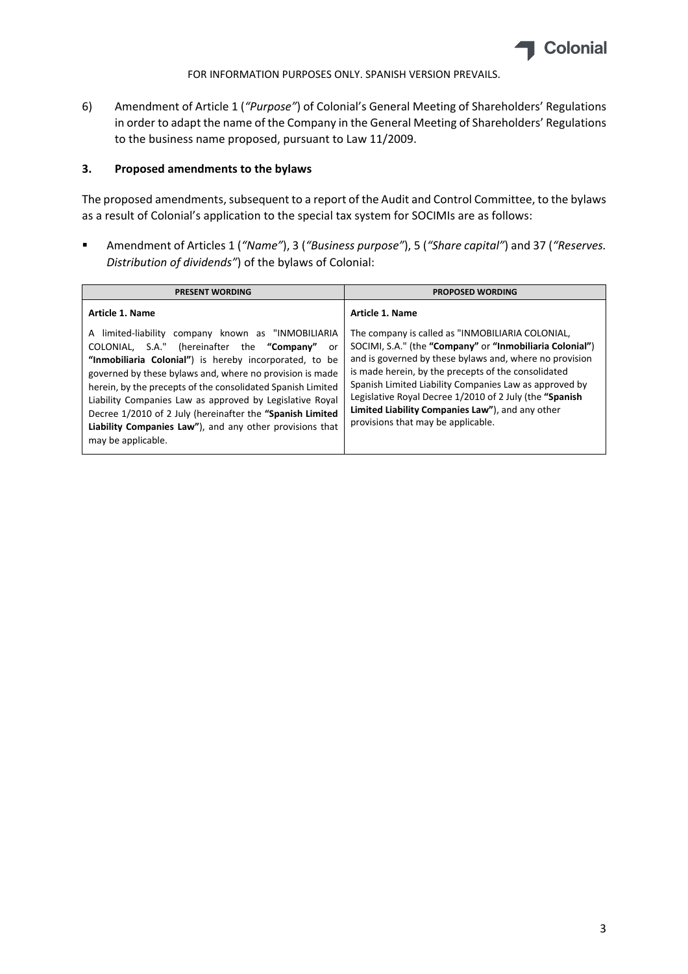

6) Amendment of Article 1 (*"Purpose"*) of Colonial's General Meeting of Shareholders' Regulations in order to adapt the name of the Company in the General Meeting of Shareholders' Regulations to the business name proposed, pursuant to Law 11/2009.

# **3. Proposed amendments to the bylaws**

The proposed amendments, subsequent to a report of the Audit and Control Committee, to the bylaws as a result of Colonial's application to the special tax system for SOCIMIs are as follows:

 Amendment of Articles 1 (*"Name"*), 3 (*"Business purpose"*), 5 (*"Share capital"*) and 37 (*"Reserves. Distribution of dividends"*) of the bylaws of Colonial: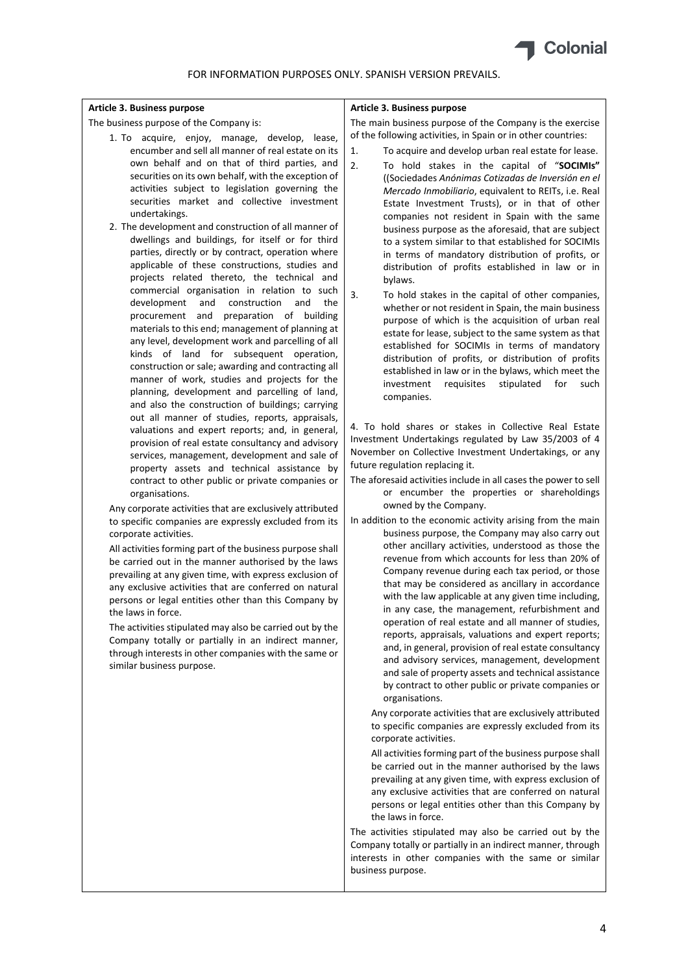

#### **Article 3. Business purpose**

The business purpose of the Company is:

- 1. To acquire, enjoy, manage, develop, lease, encumber and sell all manner of real estate on its own behalf and on that of third parties, and securities on its own behalf, with the exception of activities subject to legislation governing the securities market and collective investment undertakings.
- 2. The development and construction of all manner of dwellings and buildings, for itself or for third parties, directly or by contract, operation where applicable of these constructions, studies and projects related thereto, the technical and commercial organisation in relation to such development and construction and the procurement and preparation of building materials to this end; management of planning at any level, development work and parcelling of all kinds of land for subsequent operation, construction or sale; awarding and contracting all manner of work, studies and projects for the planning, development and parcelling of land, and also the construction of buildings; carrying out all manner of studies, reports, appraisals, valuations and expert reports; and, in general, provision of real estate consultancy and advisory services, management, development and sale of property assets and technical assistance by contract to other public or private companies or organisations.

Any corporate activities that are exclusively attributed to specific companies are expressly excluded from its corporate activities.

All activities forming part of the business purpose shall be carried out in the manner authorised by the laws prevailing at any given time, with express exclusion of any exclusive activities that are conferred on natural persons or legal entities other than this Company by the laws in force.

The activities stipulated may also be carried out by the Company totally or partially in an indirect manner, through interests in other companies with the same or similar business purpose.

### **Article 3. Business purpose**

The main business purpose of the Company is the exercise of the following activities, in Spain or in other countries:

- 1. To acquire and develop urban real estate for lease.
- 2. To hold stakes in the capital of "**SOCIMIs"** ((Sociedades *Anónimas Cotizadas de Inversión en el Mercado Inmobiliario*, equivalent to REITs, i.e. Real Estate Investment Trusts), or in that of other companies not resident in Spain with the same business purpose as the aforesaid, that are subject to a system similar to that established for SOCIMIs in terms of mandatory distribution of profits, or distribution of profits established in law or in bylaws.
- 3. To hold stakes in the capital of other companies, whether or not resident in Spain, the main business purpose of which is the acquisition of urban real estate for lease, subject to the same system as that established for SOCIMIs in terms of mandatory distribution of profits, or distribution of profits established in law or in the bylaws, which meet the investment requisites stipulated for such companies.

4. To hold shares or stakes in Collective Real Estate Investment Undertakings regulated by Law 35/2003 of 4 November on Collective Investment Undertakings, or any future regulation replacing it.

The aforesaid activities include in all cases the power to sell or encumber the properties or shareholdings owned by the Company.

In addition to the economic activity arising from the main business purpose, the Company may also carry out other ancillary activities, understood as those the revenue from which accounts for less than 20% of Company revenue during each tax period, or those that may be considered as ancillary in accordance with the law applicable at any given time including, in any case, the management, refurbishment and operation of real estate and all manner of studies, reports, appraisals, valuations and expert reports; and, in general, provision of real estate consultancy and advisory services, management, development and sale of property assets and technical assistance by contract to other public or private companies or organisations.

Any corporate activities that are exclusively attributed to specific companies are expressly excluded from its corporate activities.

All activities forming part of the business purpose shall be carried out in the manner authorised by the laws prevailing at any given time, with express exclusion of any exclusive activities that are conferred on natural persons or legal entities other than this Company by the laws in force.

The activities stipulated may also be carried out by the Company totally or partially in an indirect manner, through interests in other companies with the same or similar business purpose.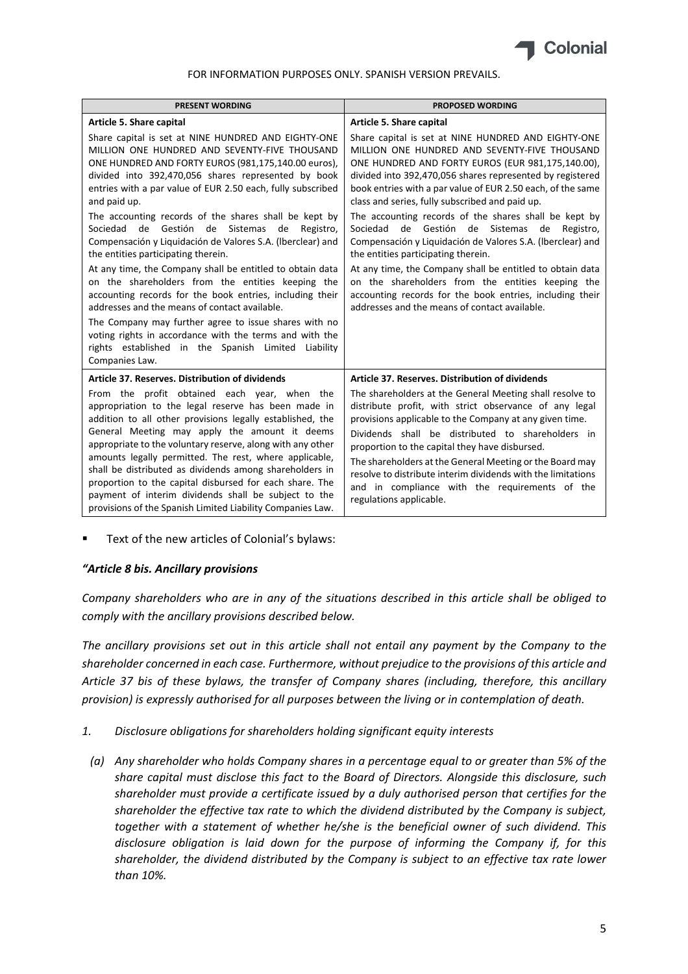

| <b>PRESENT WORDING</b>                                                                                                                                                                                                                                                                                                                                                                                                                                                                                                                                                                                                                                                                                                                                                                                                                                                                                                                               | <b>PROPOSED WORDING</b>                                                                                                                                                                                                                                                                                                                                                                                                                                                                                                                                                                                                                                                                                                                                                                     |
|------------------------------------------------------------------------------------------------------------------------------------------------------------------------------------------------------------------------------------------------------------------------------------------------------------------------------------------------------------------------------------------------------------------------------------------------------------------------------------------------------------------------------------------------------------------------------------------------------------------------------------------------------------------------------------------------------------------------------------------------------------------------------------------------------------------------------------------------------------------------------------------------------------------------------------------------------|---------------------------------------------------------------------------------------------------------------------------------------------------------------------------------------------------------------------------------------------------------------------------------------------------------------------------------------------------------------------------------------------------------------------------------------------------------------------------------------------------------------------------------------------------------------------------------------------------------------------------------------------------------------------------------------------------------------------------------------------------------------------------------------------|
| Article 5. Share capital                                                                                                                                                                                                                                                                                                                                                                                                                                                                                                                                                                                                                                                                                                                                                                                                                                                                                                                             | Article 5. Share capital                                                                                                                                                                                                                                                                                                                                                                                                                                                                                                                                                                                                                                                                                                                                                                    |
| Share capital is set at NINE HUNDRED AND EIGHTY-ONE<br>MILLION ONE HUNDRED AND SEVENTY-FIVE THOUSAND<br>ONE HUNDRED AND FORTY EUROS (981,175,140.00 euros),<br>divided into 392,470,056 shares represented by book<br>entries with a par value of EUR 2.50 each, fully subscribed<br>and paid up.<br>The accounting records of the shares shall be kept by<br>de Gestión de Sistemas<br>Sociedad<br>de<br>Registro,<br>Compensación y Liquidación de Valores S.A. (Iberclear) and<br>the entities participating therein.<br>At any time, the Company shall be entitled to obtain data<br>on the shareholders from the entities keeping the<br>accounting records for the book entries, including their<br>addresses and the means of contact available.<br>The Company may further agree to issue shares with no<br>voting rights in accordance with the terms and with the<br>rights established in the Spanish Limited Liability<br>Companies Law. | Share capital is set at NINE HUNDRED AND EIGHTY-ONE<br>MILLION ONE HUNDRED AND SEVENTY-FIVE THOUSAND<br>ONE HUNDRED AND FORTY EUROS (EUR 981,175,140.00),<br>divided into 392,470,056 shares represented by registered<br>book entries with a par value of EUR 2.50 each, of the same<br>class and series, fully subscribed and paid up.<br>The accounting records of the shares shall be kept by<br>de Gestión de Sistemas de<br>Sociedad<br>Registro,<br>Compensación y Liquidación de Valores S.A. (Iberclear) and<br>the entities participating therein.<br>At any time, the Company shall be entitled to obtain data<br>on the shareholders from the entities keeping the<br>accounting records for the book entries, including their<br>addresses and the means of contact available. |
| Article 37. Reserves. Distribution of dividends                                                                                                                                                                                                                                                                                                                                                                                                                                                                                                                                                                                                                                                                                                                                                                                                                                                                                                      | Article 37. Reserves. Distribution of dividends                                                                                                                                                                                                                                                                                                                                                                                                                                                                                                                                                                                                                                                                                                                                             |
| From the profit obtained each year, when the<br>appropriation to the legal reserve has been made in<br>addition to all other provisions legally established, the<br>General Meeting may apply the amount it deems<br>appropriate to the voluntary reserve, along with any other<br>amounts legally permitted. The rest, where applicable,<br>shall be distributed as dividends among shareholders in<br>proportion to the capital disbursed for each share. The<br>payment of interim dividends shall be subject to the<br>provisions of the Spanish Limited Liability Companies Law.                                                                                                                                                                                                                                                                                                                                                                | The shareholders at the General Meeting shall resolve to<br>distribute profit, with strict observance of any legal<br>provisions applicable to the Company at any given time.<br>Dividends shall be distributed to shareholders in<br>proportion to the capital they have disbursed.<br>The shareholders at the General Meeting or the Board may<br>resolve to distribute interim dividends with the limitations<br>and in compliance with the requirements of the<br>regulations applicable.                                                                                                                                                                                                                                                                                               |

Text of the new articles of Colonial's bylaws:

# *"Article 8 bis. Ancillary provisions*

*Company shareholders who are in any of the situations described in this article shall be obliged to comply with the ancillary provisions described below.* 

The ancillary provisions set out in this article shall not entail any payment by the Company to the *shareholder concerned in each case. Furthermore, without prejudice to the provisions of this article and Article 37 bis of these bylaws, the transfer of Company shares (including, therefore, this ancillary provision) is expressly authorised for all purposes between the living or in contemplation of death.*

- *1. Disclosure obligations for shareholders holding significant equity interests*
	- *(a) Any shareholder who holds Company shares in a percentage equal to or greater than 5% of the share capital must disclose this fact to the Board of Directors. Alongside this disclosure, such shareholder must provide a certificate issued by a duly authorised person that certifies for the shareholder the effective tax rate to which the dividend distributed by the Company is subject, together with a statement of whether he/she is the beneficial owner of such dividend. This disclosure obligation is laid down for the purpose of informing the Company if, for this shareholder, the dividend distributed by the Company is subject to an effective tax rate lower than 10%.*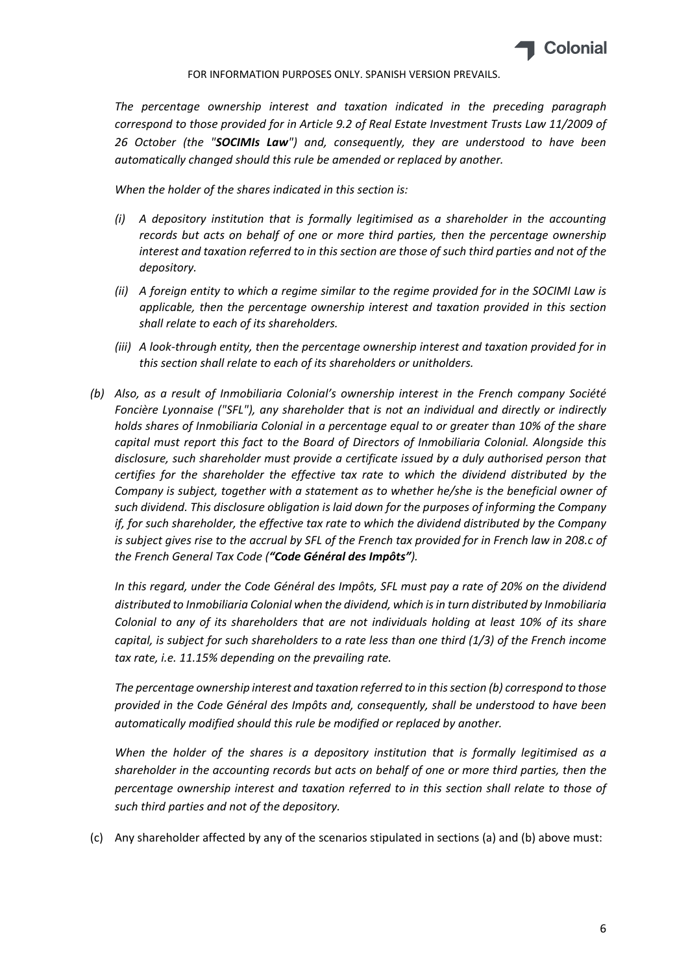

*The percentage ownership interest and taxation indicated in the preceding paragraph correspond to those provided for in Article 9.2 of Real Estate Investment Trusts Law 11/2009 of 26 October (the "SOCIMIs Law") and, consequently, they are understood to have been automatically changed should this rule be amended or replaced by another.*

*When the holder of the shares indicated in this section is:*

- *(i) A depository institution that is formally legitimised as a shareholder in the accounting records but acts on behalf of one or more third parties, then the percentage ownership interest and taxation referred to in this section are those of such third parties and not of the depository.*
- (ii) A foreign entity to which a regime similar to the regime provided for in the SOCIMI Law is *applicable, then the percentage ownership interest and taxation provided in this section shall relate to each of its shareholders.*
- *(iii) A look‐through entity, then the percentage ownership interest and taxation provided for in this section shall relate to each of its shareholders or unitholders.*
- *(b) Also, as a result of Inmobiliaria Colonial's ownership interest in the French company Société Foncière Lyonnaise ("SFL"), any shareholder that is not an individual and directly or indirectly holds shares of Inmobiliaria Colonial in a percentage equal to or greater than 10% of the share capital must report this fact to the Board of Directors of Inmobiliaria Colonial. Alongside this disclosure, such shareholder must provide a certificate issued by a duly authorised person that certifies for the shareholder the effective tax rate to which the dividend distributed by the Company is subject, together with a statement as to whether he/she is the beneficial owner of such dividend. This disclosure obligation is laid down for the purposes of informing the Company if, for such shareholder, the effective tax rate to which the dividend distributed by the Company* is subject gives rise to the accrual by SFL of the French tax provided for in French law in 208.c of *the French General Tax Code ("Code Général des Impôts").*

In this regard, under the Code Général des Impôts, SFL must pay a rate of 20% on the dividend *distributed to Inmobiliaria Colonial when the dividend, which isin turn distributed by Inmobiliaria Colonial to any of its shareholders that are not individuals holding at least 10% of its share capital, is subject for such shareholders to a rate less than one third (1/3) of the French income tax rate, i.e. 11.15% depending on the prevailing rate.*

*The percentage ownership interest and taxation referred to in thissection (b) correspond to those provided in the Code Général des Impôts and, consequently, shall be understood to have been automatically modified should this rule be modified or replaced by another.*

*When the holder of the shares is a depository institution that is formally legitimised as a shareholder in the accounting records but acts on behalf of one or more third parties, then the percentage ownership interest and taxation referred to in this section shall relate to those of such third parties and not of the depository.*

(c) Any shareholder affected by any of the scenarios stipulated in sections (a) and (b) above must: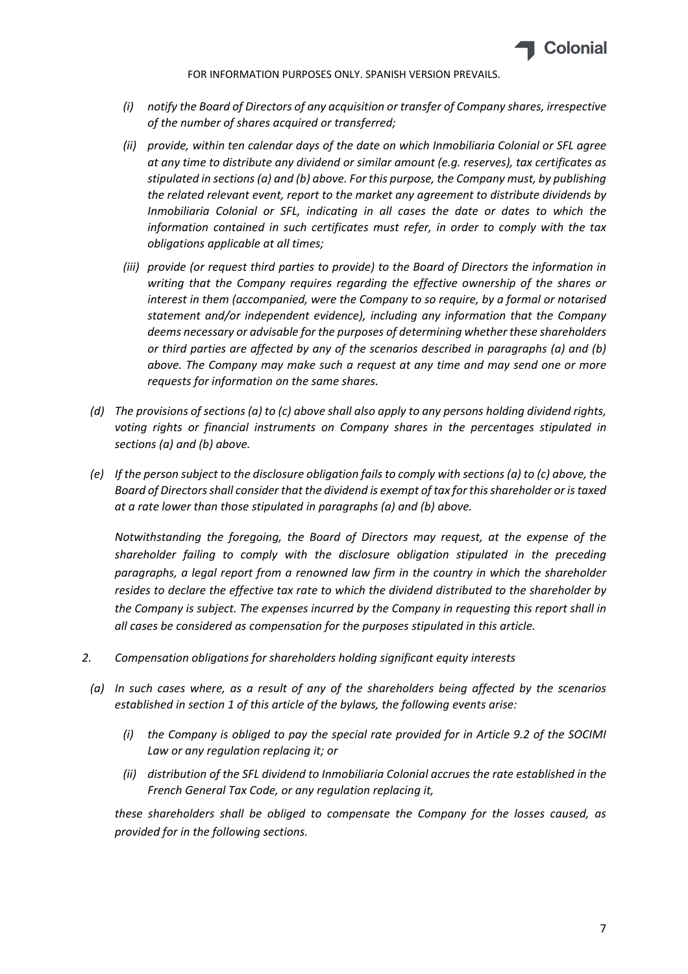

- *(i) notify the Board of Directors of any acquisition or transfer of Company shares, irrespective of the number of shares acquired or transferred;*
- *(ii) provide, within ten calendar days of the date on which Inmobiliaria Colonial or SFL agree at any time to distribute any dividend or similar amount (e.g. reserves), tax certificates as stipulated in sections (a) and (b) above. For this purpose, the Company must, by publishing the related relevant event, report to the market any agreement to distribute dividends by Inmobiliaria Colonial or SFL, indicating in all cases the date or dates to which the information contained in such certificates must refer, in order to comply with the tax obligations applicable at all times;*
- *(iii) provide (or request third parties to provide) to the Board of Directors the information in writing that the Company requires regarding the effective ownership of the shares or interest in them (accompanied, were the Company to so require, by a formal or notarised statement and/or independent evidence), including any information that the Company deems necessary or advisable for the purposes of determining whether these shareholders or third parties are affected by any of the scenarios described in paragraphs (a) and (b) above. The Company may make such a request at any time and may send one or more requests for information on the same shares.*
- (d) The provisions of sections (a) to (c) above shall also apply to any persons holding dividend rights, *voting rights or financial instruments on Company shares in the percentages stipulated in sections (a) and (b) above.*
- (e) If the person subject to the disclosure obligation fails to comply with sections (a) to (c) above, the *Board of Directorsshall consider that the dividend is exempt of tax for thisshareholder or istaxed at a rate lower than those stipulated in paragraphs (a) and (b) above.*

*Notwithstanding the foregoing, the Board of Directors may request, at the expense of the shareholder failing to comply with the disclosure obligation stipulated in the preceding paragraphs, a legal report from a renowned law firm in the country in which the shareholder resides to declare the effective tax rate to which the dividend distributed to the shareholder by the Company is subject. The expenses incurred by the Company in requesting this report shall in all cases be considered as compensation for the purposes stipulated in this article.* 

- *2. Compensation obligations for shareholders holding significant equity interests*
- *(a) In such cases where, as a result of any of the shareholders being affected by the scenarios established in section 1 of this article of the bylaws, the following events arise:*
	- *(i) the Company is obliged to pay the special rate provided for in Article 9.2 of the SOCIMI Law or any regulation replacing it; or*
	- *(ii) distribution of the SFL dividend to Inmobiliaria Colonial accrues the rate established in the French General Tax Code, or any regulation replacing it,*

*these shareholders shall be obliged to compensate the Company for the losses caused, as provided for in the following sections.*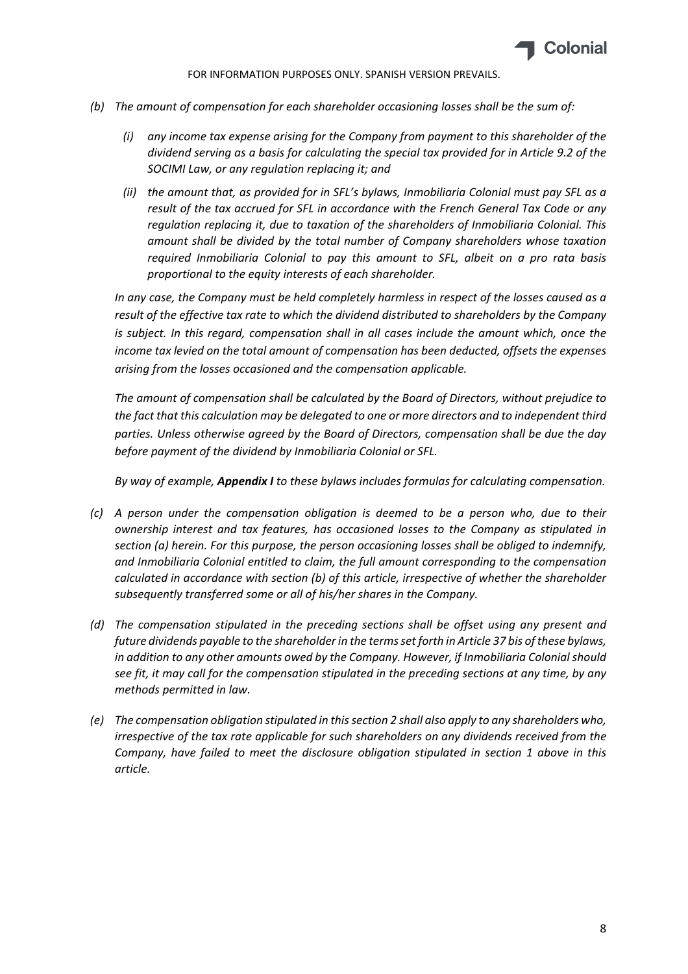

- *(b) The amount of compensation for each shareholder occasioning losses shall be the sum of:*
	- *(i) any income tax expense arising for the Company from payment to this shareholder of the dividend serving as a basis for calculating the special tax provided for in Article 9.2 of the SOCIMI Law, or any regulation replacing it; and*
	- *(ii) the amount that, as provided for in SFL's bylaws, Inmobiliaria Colonial must pay SFL as a result of the tax accrued for SFL in accordance with the French General Tax Code or any regulation replacing it, due to taxation of the shareholders of Inmobiliaria Colonial. This amount shall be divided by the total number of Company shareholders whose taxation required Inmobiliaria Colonial to pay this amount to SFL, albeit on a pro rata basis proportional to the equity interests of each shareholder.*

*In any case, the Company must be held completely harmless in respect of the losses caused as a result of the effective tax rate to which the dividend distributed to shareholders by the Company is subject. In this regard, compensation shall in all cases include the amount which, once the income tax levied on the total amount of compensation has been deducted, offsets the expenses arising from the losses occasioned and the compensation applicable.*

*The amount of compensation shall be calculated by the Board of Directors, without prejudice to the fact that this calculation may be delegated to one or more directors and to independent third parties. Unless otherwise agreed by the Board of Directors, compensation shall be due the day before payment of the dividend by Inmobiliaria Colonial or SFL.*

*By way of example, Appendix I to these bylaws includes formulas for calculating compensation.*

- *(c) A person under the compensation obligation is deemed to be a person who, due to their ownership interest and tax features, has occasioned losses to the Company as stipulated in section (a) herein. For this purpose, the person occasioning losses shall be obliged to indemnify, and Inmobiliaria Colonial entitled to claim, the full amount corresponding to the compensation calculated in accordance with section (b) of this article, irrespective of whether the shareholder subsequently transferred some or all of his/her shares in the Company.*
- *(d) The compensation stipulated in the preceding sections shall be offset using any present and future dividends payable to the shareholderin the termsset forth in Article 37 bis of these bylaws, in addition to any other amounts owed by the Company. However, if Inmobiliaria Colonial should see fit, it may call for the compensation stipulated in the preceding sections at any time, by any methods permitted in law.*
- *(e) The compensation obligation stipulated in thissection 2 shall also apply to any shareholders who, irrespective of the tax rate applicable for such shareholders on any dividends received from the Company, have failed to meet the disclosure obligation stipulated in section 1 above in this article.*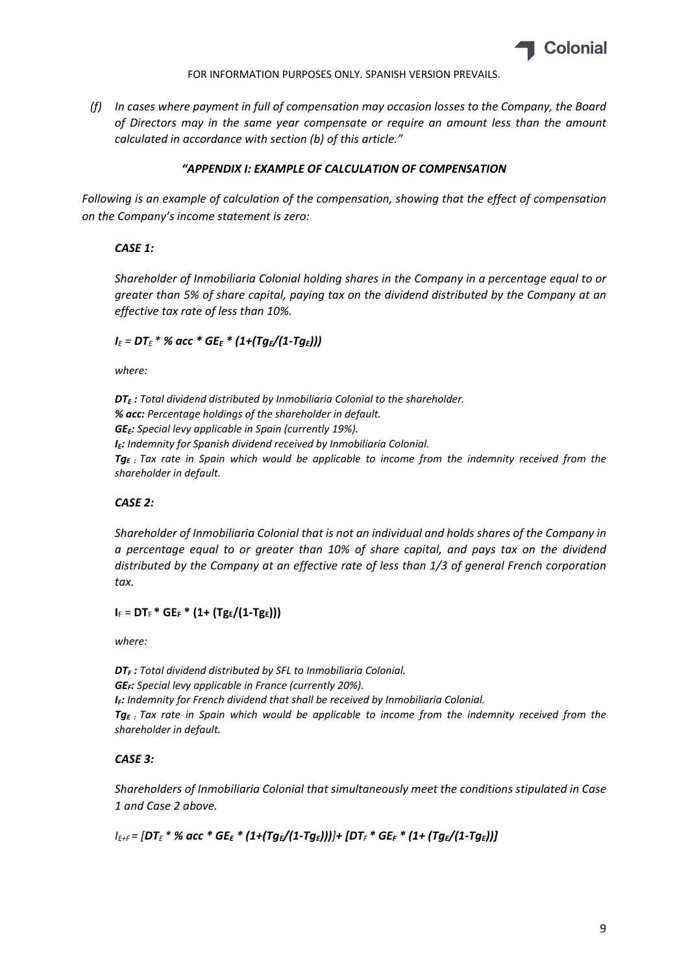

*(f) In cases where payment in full of compensation may occasion losses to the Company, the Board of Directors may in the same year compensate or require an amount less than the amount calculated in accordance with section (b) of this article."*

# *"APPENDIX I: EXAMPLE OF CALCULATION OF COMPENSATION*

*Following is an example of calculation of the compensation, showing that the effect of compensation on the Company's income statement is zero:*

# *CASE 1:*

*Shareholder of Inmobiliaria Colonial holding shares in the Company in a percentage equal to or greater than 5% of share capital, paying tax on the dividend distributed by the Company at an effective tax rate of less than 10%.*

# *I<sup>E</sup> = DT<sup>E</sup> \* % acc \* GEE \* (1+(TgE/(1‐TgE)))*

*where:*

*DTE : Total dividend distributed by Inmobiliaria Colonial to the shareholder. % acc: Percentage holdings of the shareholder in default. GEE: Special levy applicable in Spain (currently 19%). IE: Indemnity for Spanish dividend received by Inmobiliaria Colonial. TgE : Tax rate in Spain which would be applicable to income from the indemnity received from the shareholder in default.*

# *CASE 2:*

*Shareholder of Inmobiliaria Colonial that is not an individual and holds shares of the Company in a percentage equal to or greater than 10% of share capital, and pays tax on the dividend distributed by the Company at an effective rate of less than 1/3 of general French corporation tax.*

# $I_F = DT_F * GE_F * (1 + (Tg_E/(1 - Tg_E)))$

*where:* 

*DTF : Total dividend distributed by SFL to Inmobiliaria Colonial. GEF: Special levy applicable in France (currently 20%). IF: Indemnity for French dividend that shall be received by Inmobiliaria Colonial. TgE : Tax rate in Spain which would be applicable to income from the indemnity received from the shareholder in default.*

# *CASE 3:*

*Shareholders of Inmobiliaria Colonial that simultaneously meet the conditions stipulated in Case 1 and Case 2 above.*

 $I_{E+F}$  = [DT<sub>E</sub> \* % acc \* GE<sub>E</sub> \* (1+(Tq<sub>E</sub>/(1-Tq<sub>E</sub>)))]+ [DT<sub>F</sub> \* GE<sub>F</sub> \* (1+ (Tq<sub>E</sub>/(1-Tq<sub>E</sub>))]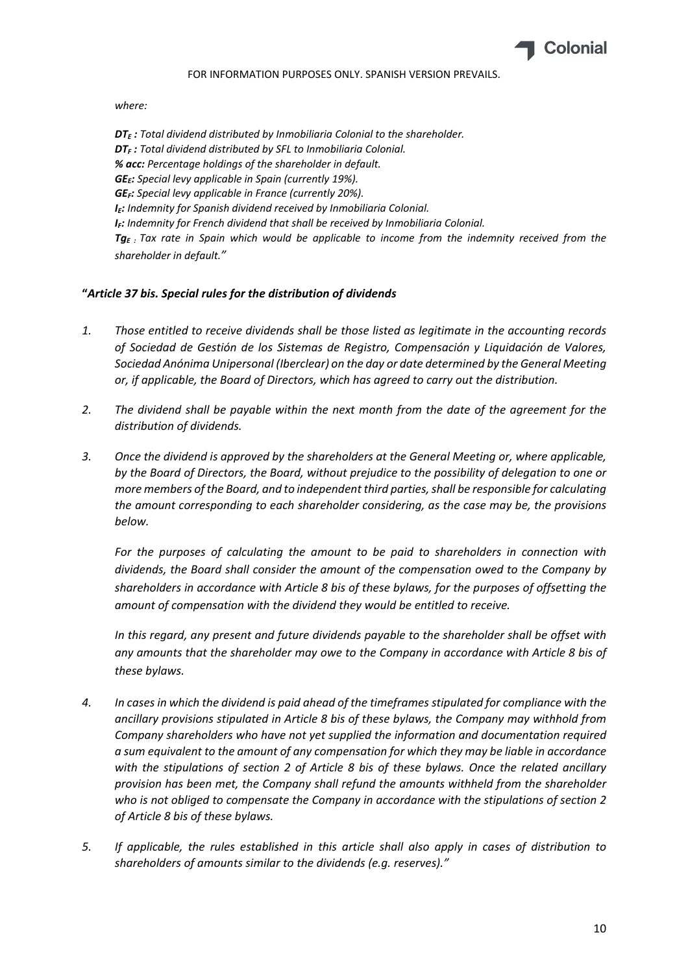

*where:*

*DTE : Total dividend distributed by Inmobiliaria Colonial to the shareholder. DTF : Total dividend distributed by SFL to Inmobiliaria Colonial. % acc: Percentage holdings of the shareholder in default. GEE: Special levy applicable in Spain (currently 19%). GEF: Special levy applicable in France (currently 20%). IE: Indemnity for Spanish dividend received by Inmobiliaria Colonial. IF: Indemnity for French dividend that shall be received by Inmobiliaria Colonial. TgE : Tax rate in Spain which would be applicable to income from the indemnity received from the shareholder in default."*

# **"***Article 37 bis. Special rules for the distribution of dividends*

- *1. Those entitled to receive dividends shall be those listed as legitimate in the accounting records of Sociedad de Gestión de los Sistemas de Registro, Compensación y Liquidación de Valores, Sociedad Anónima Unipersonal (Iberclear) on the day or date determined by the General Meeting or, if applicable, the Board of Directors, which has agreed to carry out the distribution.*
- *2. The dividend shall be payable within the next month from the date of the agreement for the distribution of dividends.*
- *3. Once the dividend is approved by the shareholders at the General Meeting or, where applicable, by the Board of Directors, the Board, without prejudice to the possibility of delegation to one or more members of the Board, and to independent third parties,shall be responsible for calculating the amount corresponding to each shareholder considering, as the case may be, the provisions below.*

*For the purposes of calculating the amount to be paid to shareholders in connection with dividends, the Board shall consider the amount of the compensation owed to the Company by shareholders in accordance with Article 8 bis of these bylaws, for the purposes of offsetting the amount of compensation with the dividend they would be entitled to receive.*

*In this regard, any present and future dividends payable to the shareholder shall be offset with any amounts that the shareholder may owe to the Company in accordance with Article 8 bis of these bylaws.*

- 4. In cases in which the dividend is paid ahead of the timeframes stipulated for compliance with the *ancillary provisions stipulated in Article 8 bis of these bylaws, the Company may withhold from Company shareholders who have not yet supplied the information and documentation required a sum equivalent to the amount of any compensation for which they may be liable in accordance with the stipulations of section 2 of Article 8 bis of these bylaws. Once the related ancillary provision has been met, the Company shall refund the amounts withheld from the shareholder who is not obliged to compensate the Company in accordance with the stipulations of section 2 of Article 8 bis of these bylaws.*
- *5. If applicable, the rules established in this article shall also apply in cases of distribution to shareholders of amounts similar to the dividends (e.g. reserves)."*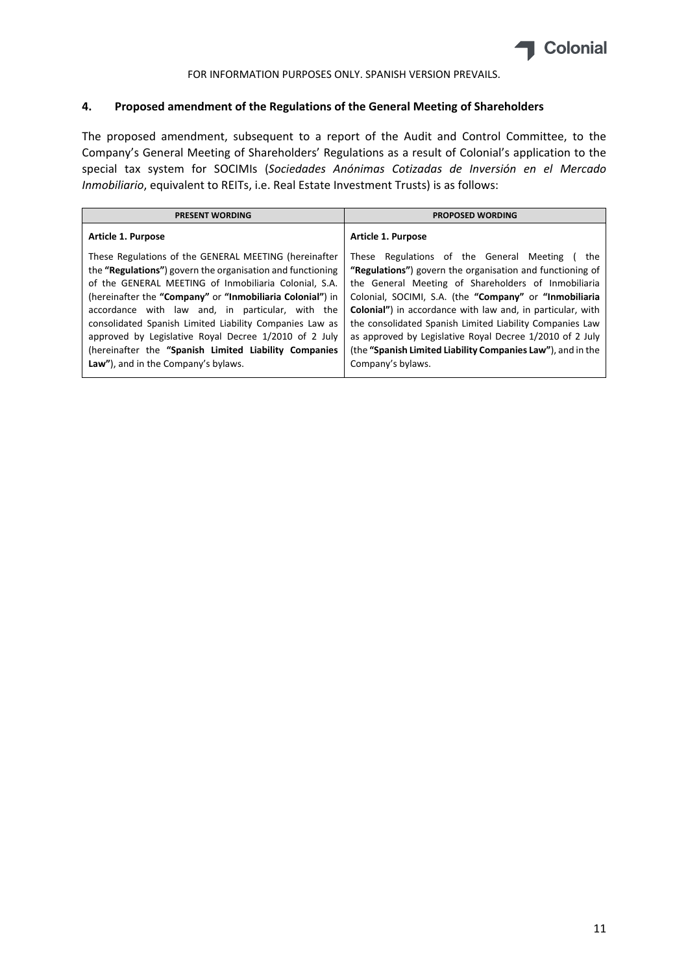

### **4. Proposed amendment of the Regulations of the General Meeting of Shareholders**

The proposed amendment, subsequent to a report of the Audit and Control Committee, to the Company's General Meeting of Shareholders' Regulations as a result of Colonial's application to the special tax system for SOCIMIs (*Sociedades Anónimas Cotizadas de Inversión en el Mercado Inmobiliario*, equivalent to REITs, i.e. Real Estate Investment Trusts) is as follows:

| <b>PRESENT WORDING</b>                                                                                                                                                                                                                                                                                                                                                                                                                                                     | <b>PROPOSED WORDING</b>                                                                                                                                                                                                                                                                                                                                                                                                                                                                   |
|----------------------------------------------------------------------------------------------------------------------------------------------------------------------------------------------------------------------------------------------------------------------------------------------------------------------------------------------------------------------------------------------------------------------------------------------------------------------------|-------------------------------------------------------------------------------------------------------------------------------------------------------------------------------------------------------------------------------------------------------------------------------------------------------------------------------------------------------------------------------------------------------------------------------------------------------------------------------------------|
| Article 1. Purpose                                                                                                                                                                                                                                                                                                                                                                                                                                                         | Article 1. Purpose                                                                                                                                                                                                                                                                                                                                                                                                                                                                        |
| These Regulations of the GENERAL MEETING (hereinafter<br>the "Regulations") govern the organisation and functioning<br>of the GENERAL MEETING of Inmobiliaria Colonial, S.A.<br>(hereinafter the "Company" or "Inmobiliaria Colonial") in<br>accordance with law and, in particular, with the<br>consolidated Spanish Limited Liability Companies Law as<br>approved by Legislative Royal Decree 1/2010 of 2 July<br>(hereinafter the "Spanish Limited Liability Companies | These Regulations of the General Meeting<br>the<br>"Regulations") govern the organisation and functioning of<br>the General Meeting of Shareholders of Inmobiliaria<br>Colonial, SOCIMI, S.A. (the "Company" or "Inmobiliaria<br><b>Colonial")</b> in accordance with law and, in particular, with<br>the consolidated Spanish Limited Liability Companies Law<br>as approved by Legislative Royal Decree 1/2010 of 2 July<br>(the "Spanish Limited Liability Companies Law"), and in the |
| Law"), and in the Company's bylaws.                                                                                                                                                                                                                                                                                                                                                                                                                                        | Company's bylaws.                                                                                                                                                                                                                                                                                                                                                                                                                                                                         |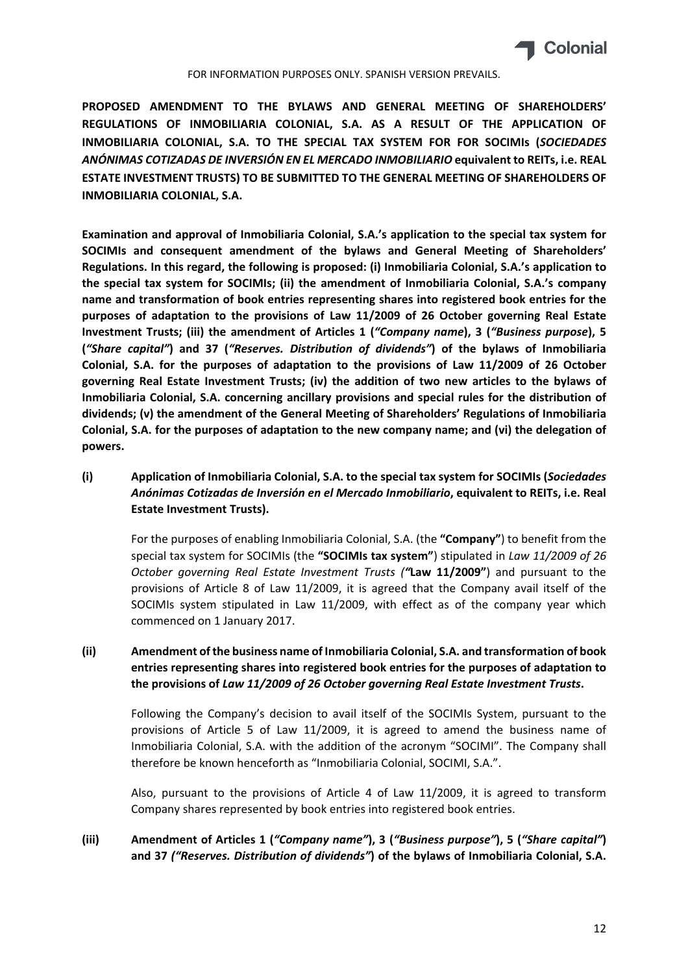

**PROPOSED AMENDMENT TO THE BYLAWS AND GENERAL MEETING OF SHAREHOLDERS' REGULATIONS OF INMOBILIARIA COLONIAL, S.A. AS A RESULT OF THE APPLICATION OF INMOBILIARIA COLONIAL, S.A. TO THE SPECIAL TAX SYSTEM FOR FOR SOCIMIs (***SOCIEDADES ANÓNIMAS COTIZADAS DE INVERSIÓN EN EL MERCADO INMOBILIARIO* **equivalent to REITs, i.e. REAL ESTATE INVESTMENT TRUSTS) TO BE SUBMITTED TO THE GENERAL MEETING OF SHAREHOLDERS OF INMOBILIARIA COLONIAL, S.A.**

**Examination and approval of Inmobiliaria Colonial, S.A.'s application to the special tax system for SOCIMIs and consequent amendment of the bylaws and General Meeting of Shareholders' Regulations. In this regard, the following is proposed: (i) Inmobiliaria Colonial, S.A.'s application to the special tax system for SOCIMIs; (ii) the amendment of Inmobiliaria Colonial, S.A.'s company name and transformation of book entries representing shares into registered book entries for the purposes of adaptation to the provisions of Law 11/2009 of 26 October governing Real Estate Investment Trusts; (iii) the amendment of Articles 1 (***"Company name***), 3 (***"Business purpose***), 5 (***"Share capital"***) and 37 (***"Reserves. Distribution of dividends"***) of the bylaws of Inmobiliaria Colonial, S.A. for the purposes of adaptation to the provisions of Law 11/2009 of 26 October governing Real Estate Investment Trusts; (iv) the addition of two new articles to the bylaws of Inmobiliaria Colonial, S.A. concerning ancillary provisions and special rules for the distribution of dividends; (v) the amendment of the General Meeting of Shareholders' Regulations of Inmobiliaria Colonial, S.A. for the purposes of adaptation to the new company name; and (vi) the delegation of powers.**

**(i) Application of Inmobiliaria Colonial, S.A. to the special tax system for SOCIMIs (***Sociedades Anónimas Cotizadas de Inversión en el Mercado Inmobiliario***, equivalent to REITs, i.e. Real Estate Investment Trusts).**

For the purposes of enabling Inmobiliaria Colonial, S.A. (the **"Company"**) to benefit from the special tax system for SOCIMIs (the **"SOCIMIs tax system"**) stipulated in *Law 11/2009 of 26 October governing Real Estate Investment Trusts ("***Law 11/2009"**) and pursuant to the provisions of Article 8 of Law 11/2009, it is agreed that the Company avail itself of the SOCIMIs system stipulated in Law 11/2009, with effect as of the company year which commenced on 1 January 2017.

# **(ii) Amendment of the business name of Inmobiliaria Colonial, S.A. and transformation of book entries representing shares into registered book entries for the purposes of adaptation to the provisions of** *Law 11/2009 of 26 October governing Real Estate Investment Trusts***.**

Following the Company's decision to avail itself of the SOCIMIs System, pursuant to the provisions of Article 5 of Law 11/2009, it is agreed to amend the business name of Inmobiliaria Colonial, S.A. with the addition of the acronym "SOCIMI". The Company shall therefore be known henceforth as "Inmobiliaria Colonial, SOCIMI, S.A.".

Also, pursuant to the provisions of Article 4 of Law 11/2009, it is agreed to transform Company shares represented by book entries into registered book entries.

# **(iii) Amendment of Articles 1 (***"Company name"***), 3 (***"Business purpose"***), 5 (***"Share capital"***) and 37** *("Reserves. Distribution of dividends"***) of the bylaws of Inmobiliaria Colonial, S.A.**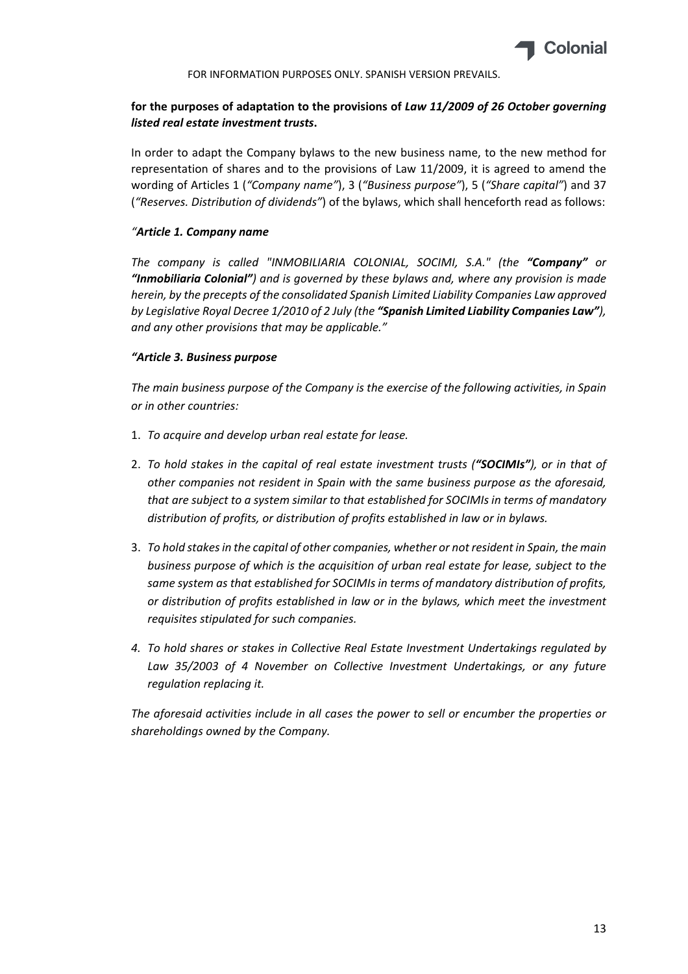

# **for the purposes of adaptation to the provisions of** *Law 11/2009 of 26 October governing listed real estate investment trusts***.**

In order to adapt the Company bylaws to the new business name, to the new method for representation of shares and to the provisions of Law 11/2009, it is agreed to amend the wording of Articles 1 (*"Company name"*), 3 (*"Business purpose"*), 5 (*"Share capital"*) and 37 (*"Reserves. Distribution of dividends"*) of the bylaws, which shall henceforth read as follows:

### *"Article 1. Company name*

*The company is called "INMOBILIARIA COLONIAL, SOCIMI, S.A." (the "Company" or "Inmobiliaria Colonial") and is governed by these bylaws and, where any provision is made herein, by the precepts of the consolidated Spanish Limited Liability Companies Law approved by Legislative Royal Decree 1/2010 of 2 July (the "Spanish Limited Liability Companies Law"), and any other provisions that may be applicable."*

### *"Article 3. Business purpose*

*The main business purpose of the Company is the exercise of the following activities, in Spain or in other countries:*

- 1. *To acquire and develop urban real estate for lease.*
- 2. *To hold stakes in the capital of real estate investment trusts ("SOCIMIs"), or in that of other companies not resident in Spain with the same business purpose as the aforesaid, that are subject to a system similar to that established for SOCIMIs in terms of mandatory distribution of profits, or distribution of profits established in law or in bylaws.*
- 3. *To hold stakesin the capital of other companies, whether or not resident in Spain, the main business purpose of which is the acquisition of urban real estate for lease, subject to the same system as that established for SOCIMIs in terms of mandatory distribution of profits, or distribution of profits established in law or in the bylaws, which meet the investment requisites stipulated for such companies.*
- *4. To hold shares or stakes in Collective Real Estate Investment Undertakings regulated by Law 35/2003 of 4 November on Collective Investment Undertakings, or any future regulation replacing it.*

*The aforesaid activities include in all cases the power to sell or encumber the properties or shareholdings owned by the Company.*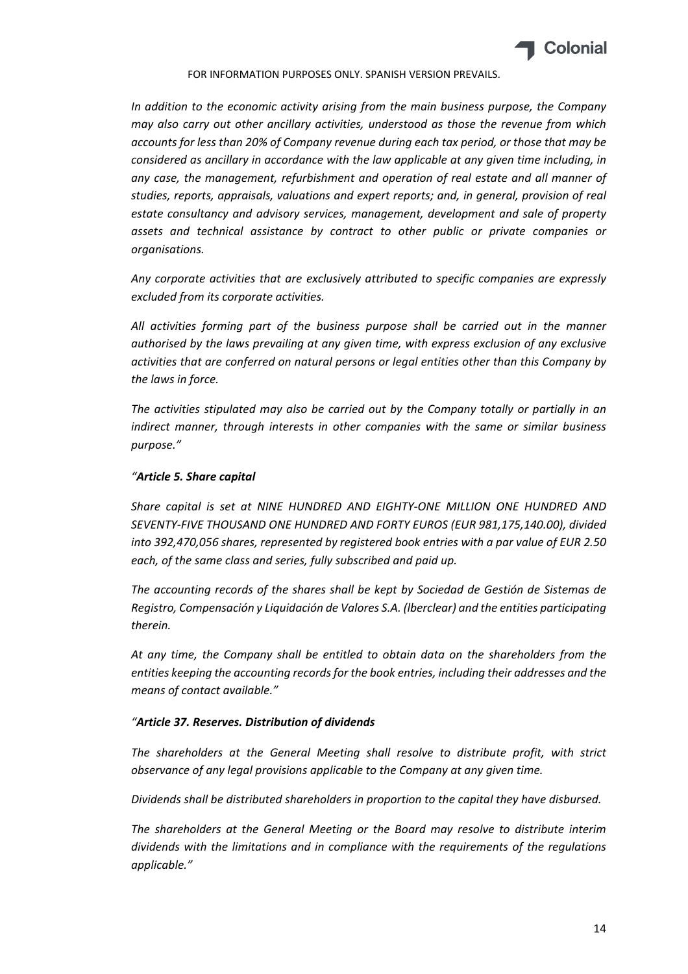

*In addition to the economic activity arising from the main business purpose, the Company may also carry out other ancillary activities, understood as those the revenue from which accounts for less than 20% of Company revenue during each tax period, or those that may be considered as ancillary in accordance with the law applicable at any given time including, in any case, the management, refurbishment and operation of real estate and all manner of studies, reports, appraisals, valuations and expert reports; and, in general, provision of real estate consultancy and advisory services, management, development and sale of property assets and technical assistance by contract to other public or private companies or organisations.*

*Any corporate activities that are exclusively attributed to specific companies are expressly excluded from its corporate activities.*

*All activities forming part of the business purpose shall be carried out in the manner authorised by the laws prevailing at any given time, with express exclusion of any exclusive activities that are conferred on natural persons or legal entities other than this Company by the laws in force.*

*The activities stipulated may also be carried out by the Company totally or partially in an indirect manner, through interests in other companies with the same or similar business purpose."*

# *"Article 5. Share capital*

*Share capital is set at NINE HUNDRED AND EIGHTY‐ONE MILLION ONE HUNDRED AND SEVENTY‐FIVE THOUSAND ONE HUNDRED AND FORTY EUROS (EUR 981,175,140.00), divided into 392,470,056 shares, represented by registered book entries with a par value of EUR 2.50 each, of the same class and series, fully subscribed and paid up.*

*The accounting records of the shares shall be kept by Sociedad de Gestión de Sistemas de Registro, Compensación y Liquidación de Valores S.A. (lberclear) and the entities participating therein.*

*At any time, the Company shall be entitled to obtain data on the shareholders from the entities keeping the accounting recordsfor the book entries, including their addresses and the means of contact available."*

### *"Article 37. Reserves. Distribution of dividends*

*The shareholders at the General Meeting shall resolve to distribute profit, with strict observance of any legal provisions applicable to the Company at any given time.*

*Dividends shall be distributed shareholders in proportion to the capital they have disbursed.*

*The shareholders at the General Meeting or the Board may resolve to distribute interim dividends with the limitations and in compliance with the requirements of the regulations applicable."*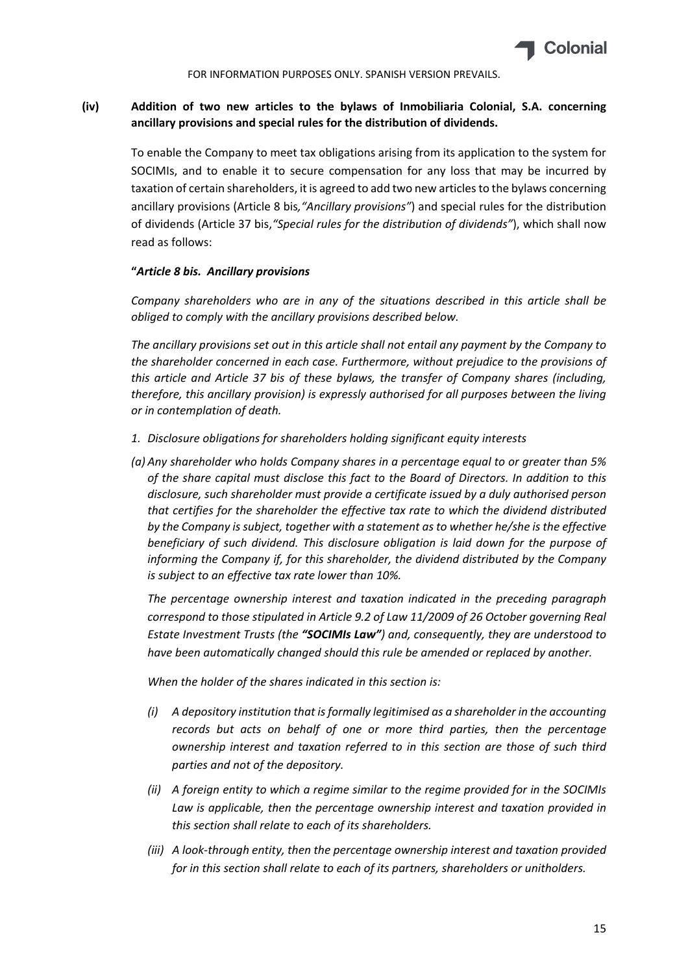

# **(iv) Addition of two new articles to the bylaws of Inmobiliaria Colonial, S.A. concerning ancillary provisions and special rules for the distribution of dividends.**

To enable the Company to meet tax obligations arising from its application to the system for SOCIMIs, and to enable it to secure compensation for any loss that may be incurred by taxation of certain shareholders, it is agreed to add two new articles to the bylaws concerning ancillary provisions (Article 8 bis*,"Ancillary provisions"*) and special rules for the distribution of dividends (Article 37 bis,*"Special rules for the distribution of dividends"*), which shall now read as follows:

### **"***Article 8 bis. Ancillary provisions*

*Company shareholders who are in any of the situations described in this article shall be obliged to comply with the ancillary provisions described below.*

*The ancillary provisions set out in this article shall not entail any payment by the Company to the shareholder concerned in each case. Furthermore, without prejudice to the provisions of this article and Article 37 bis of these bylaws, the transfer of Company shares (including, therefore, this ancillary provision) is expressly authorised for all purposes between the living or in contemplation of death.*

- *1. Disclosure obligations for shareholders holding significant equity interests*
- *(a) Any shareholder who holds Company shares in a percentage equal to or greater than 5% of the share capital must disclose this fact to the Board of Directors. In addition to this disclosure, such shareholder must provide a certificate issued by a duly authorised person that certifies for the shareholder the effective tax rate to which the dividend distributed by the Company is subject, together with a statement as to whether he/she is the effective beneficiary of such dividend. This disclosure obligation is laid down for the purpose of informing the Company if, for this shareholder, the dividend distributed by the Company is subject to an effective tax rate lower than 10%.*

*The percentage ownership interest and taxation indicated in the preceding paragraph correspond to those stipulated in Article 9.2 of Law 11/2009 of 26 October governing Real Estate Investment Trusts (the "SOCIMIs Law") and, consequently, they are understood to have been automatically changed should this rule be amended or replaced by another.*

*When the holder of the shares indicated in this section is:*

- *(i) A depository institution that isformally legitimised as a shareholder in the accounting records but acts on behalf of one or more third parties, then the percentage ownership interest and taxation referred to in this section are those of such third parties and not of the depository.*
- *(ii) A foreign entity to which a regime similar to the regime provided for in the SOCIMIs Law is applicable, then the percentage ownership interest and taxation provided in this section shall relate to each of its shareholders.*
- *(iii) A look‐through entity, then the percentage ownership interest and taxation provided for in this section shall relate to each of its partners, shareholders or unitholders.*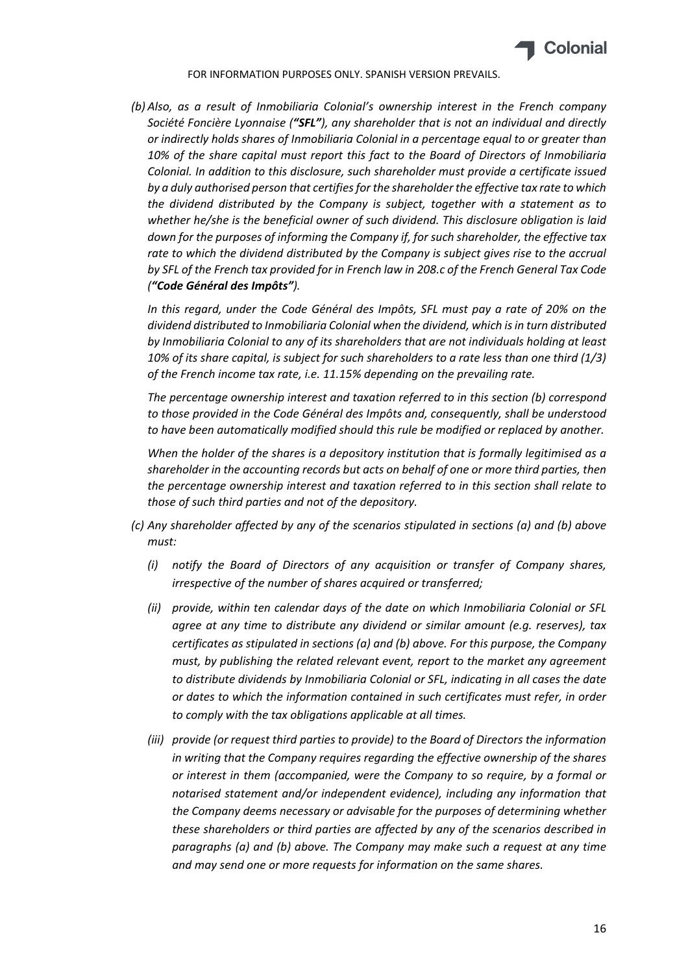

*(b) Also, as a result of Inmobiliaria Colonial's ownership interest in the French company Société Foncière Lyonnaise ("SFL"), any shareholder that is not an individual and directly or indirectly holds shares of Inmobiliaria Colonial in a percentage equal to or greater than 10% of the share capital must report this fact to the Board of Directors of Inmobiliaria Colonial. In addition to this disclosure, such shareholder must provide a certificate issued by a duly authorised person that certifiesforthe shareholder the effective tax rate to which the dividend distributed by the Company is subject, together with a statement as to whether he/she is the beneficial owner of such dividend. This disclosure obligation is laid down for the purposes of informing the Company if, for such shareholder, the effective tax rate to which the dividend distributed by the Company is subject gives rise to the accrual by SFL of the French tax provided for in French law in 208.c of the French General Tax Code ("Code Général des Impôts").*

*In this regard, under the Code Général des Impôts, SFL must pay a rate of 20% on the dividend distributed to Inmobiliaria Colonial when the dividend, which isin turn distributed by Inmobiliaria Colonial to any of its shareholders that are not individuals holding at least 10% of its share capital, is subject for such shareholders to a rate less than one third (1/3) of the French income tax rate, i.e. 11.15% depending on the prevailing rate.*

*The percentage ownership interest and taxation referred to in this section (b) correspond to those provided in the Code Général des Impôts and, consequently, shall be understood to have been automatically modified should this rule be modified or replaced by another.*

*When the holder of the shares is a depository institution that is formally legitimised as a shareholder in the accounting records but acts on behalf of one or more third parties, then the percentage ownership interest and taxation referred to in this section shall relate to those of such third parties and not of the depository.*

- *(c) Any shareholder affected by any of the scenarios stipulated in sections (a) and (b) above must:*
	- *(i) notify the Board of Directors of any acquisition or transfer of Company shares, irrespective of the number of shares acquired or transferred;*
	- *(ii) provide, within ten calendar days of the date on which Inmobiliaria Colonial or SFL agree at any time to distribute any dividend or similar amount (e.g. reserves), tax certificates as stipulated in sections (a) and (b) above. For this purpose, the Company must, by publishing the related relevant event, report to the market any agreement to distribute dividends by Inmobiliaria Colonial or SFL, indicating in all cases the date or dates to which the information contained in such certificates must refer, in order to comply with the tax obligations applicable at all times.*
	- *(iii) provide (or request third parties to provide) to the Board of Directors the information in writing that the Company requires regarding the effective ownership of the shares or interest in them (accompanied, were the Company to so require, by a formal or notarised statement and/or independent evidence), including any information that the Company deems necessary or advisable for the purposes of determining whether these shareholders or third parties are affected by any of the scenarios described in paragraphs (a) and (b) above. The Company may make such a request at any time and may send one or more requests for information on the same shares.*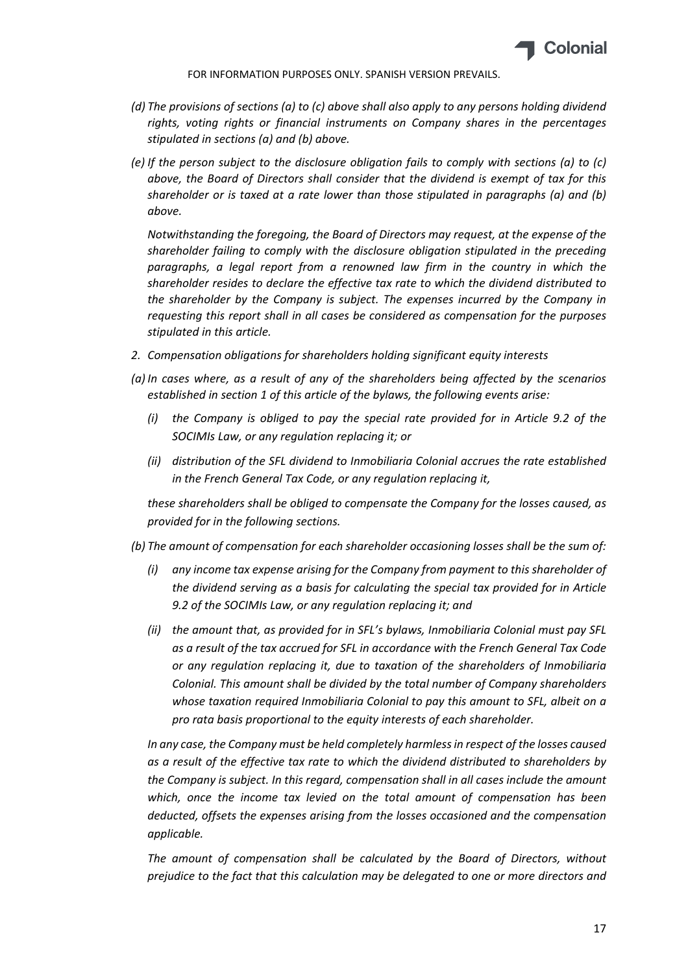

- *(d) The provisions of sections (a) to (c) above shall also apply to any persons holding dividend rights, voting rights or financial instruments on Company shares in the percentages stipulated in sections (a) and (b) above.*
- *(e) If the person subject to the disclosure obligation fails to comply with sections (a) to (c) above, the Board of Directors shall consider that the dividend is exempt of tax for this shareholder or is taxed at a rate lower than those stipulated in paragraphs (a) and (b) above.*

*Notwithstanding the foregoing, the Board of Directors may request, at the expense of the shareholder failing to comply with the disclosure obligation stipulated in the preceding paragraphs, a legal report from a renowned law firm in the country in which the shareholder resides to declare the effective tax rate to which the dividend distributed to the shareholder by the Company is subject. The expenses incurred by the Company in requesting this report shall in all cases be considered as compensation for the purposes stipulated in this article.*

- *2. Compensation obligations for shareholders holding significant equity interests*
- *(a) In cases where, as a result of any of the shareholders being affected by the scenarios established in section 1 of this article of the bylaws, the following events arise:*
	- *(i) the Company is obliged to pay the special rate provided for in Article 9.2 of the SOCIMIs Law, or any regulation replacing it; or*
	- *(ii) distribution of the SFL dividend to Inmobiliaria Colonial accrues the rate established in the French General Tax Code, or any regulation replacing it,*

*these shareholders shall be obliged to compensate the Company for the losses caused, as provided for in the following sections.*

- *(b) The amount of compensation for each shareholder occasioning losses shall be the sum of:*
	- *(i) any income tax expense arising for the Company from payment to this shareholder of the dividend serving as a basis for calculating the special tax provided for in Article 9.2 of the SOCIMIs Law, or any regulation replacing it; and*
	- *(ii) the amount that, as provided for in SFL's bylaws, Inmobiliaria Colonial must pay SFL as a result of the tax accrued for SFL in accordance with the French General Tax Code or any regulation replacing it, due to taxation of the shareholders of Inmobiliaria Colonial. This amount shall be divided by the total number of Company shareholders whose taxation required Inmobiliaria Colonial to pay this amount to SFL, albeit on a pro rata basis proportional to the equity interests of each shareholder.*

*In any case, the Company must be held completely harmlessin respect of the losses caused as a result of the effective tax rate to which the dividend distributed to shareholders by the Company is subject. In this regard, compensation shall in all cases include the amount which, once the income tax levied on the total amount of compensation has been deducted, offsets the expenses arising from the losses occasioned and the compensation applicable.*

*The amount of compensation shall be calculated by the Board of Directors, without prejudice to the fact that this calculation may be delegated to one or more directors and*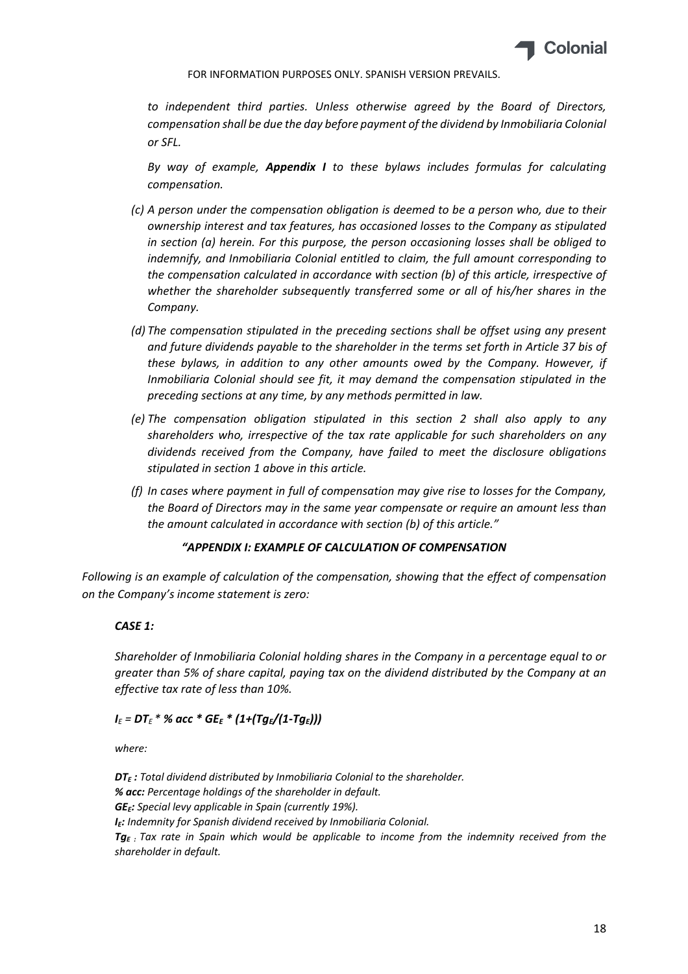

*to independent third parties. Unless otherwise agreed by the Board of Directors, compensation shall be due the day before payment of the dividend by Inmobiliaria Colonial or SFL.*

*By way of example, Appendix I to these bylaws includes formulas for calculating compensation.*

- *(c) A person under the compensation obligation is deemed to be a person who, due to their ownership interest and tax features, has occasioned losses to the Company as stipulated in section (a) herein. For this purpose, the person occasioning losses shall be obliged to indemnify, and Inmobiliaria Colonial entitled to claim, the full amount corresponding to the compensation calculated in accordance with section (b) of this article, irrespective of whether the shareholder subsequently transferred some or all of his/her shares in the Company.*
- *(d) The compensation stipulated in the preceding sections shall be offset using any present and future dividends payable to the shareholder in the terms set forth in Article 37 bis of these bylaws, in addition to any other amounts owed by the Company. However, if Inmobiliaria Colonial should see fit, it may demand the compensation stipulated in the preceding sections at any time, by any methods permitted in law.*
- *(e) The compensation obligation stipulated in this section 2 shall also apply to any shareholders who, irrespective of the tax rate applicable for such shareholders on any dividends received from the Company, have failed to meet the disclosure obligations stipulated in section 1 above in this article.*
- *(f) In cases where payment in full of compensation may give rise to losses for the Company, the Board of Directors may in the same year compensate or require an amount less than the amount calculated in accordance with section (b) of this article."*

# *"APPENDIX I: EXAMPLE OF CALCULATION OF COMPENSATION*

*Following is an example of calculation of the compensation, showing that the effect of compensation on the Company's income statement is zero:*

### *CASE 1:*

*Shareholder of Inmobiliaria Colonial holding shares in the Company in a percentage equal to or greater than 5% of share capital, paying tax on the dividend distributed by the Company at an effective tax rate of less than 10%.*

# *I<sup>E</sup> = DT<sup>E</sup> \* % acc \* GEE \* (1+(TgE/(1‐TgE)))*

*where:*

*DTE : Total dividend distributed by Inmobiliaria Colonial to the shareholder. % acc: Percentage holdings of the shareholder in default. GEE: Special levy applicable in Spain (currently 19%). IE: Indemnity for Spanish dividend received by Inmobiliaria Colonial. TgE : Tax rate in Spain which would be applicable to income from the indemnity received from the shareholder in default.*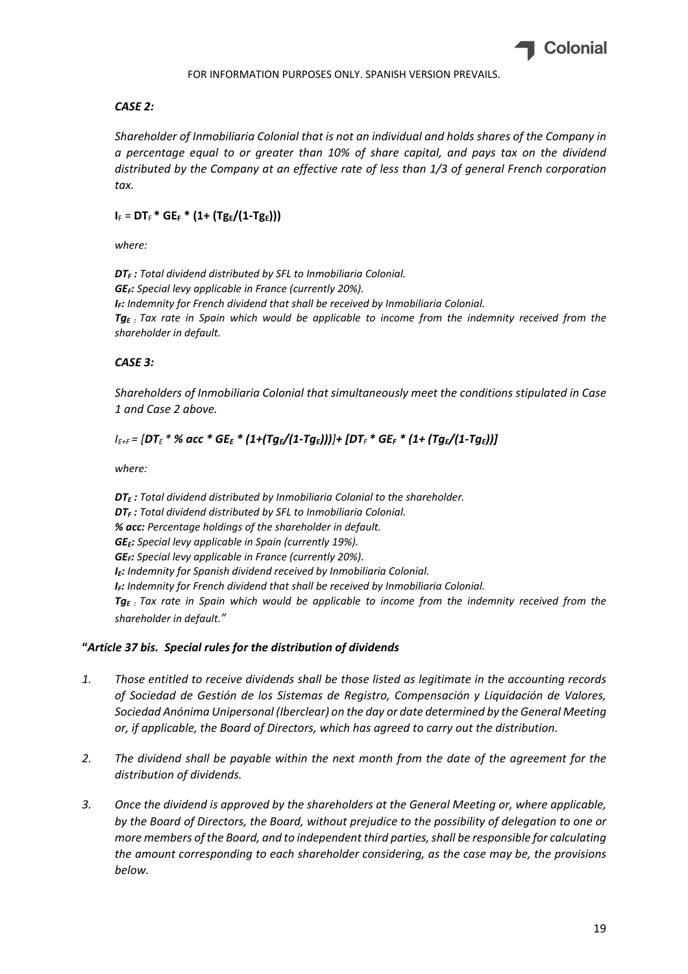

## *CASE 2:*

*Shareholder of Inmobiliaria Colonial that is not an individual and holds shares of the Company in a percentage equal to or greater than 10% of share capital, and pays tax on the dividend distributed by the Company at an effective rate of less than 1/3 of general French corporation tax.*

# $I_F = DT_F * GE_F * (1 + (Tg_E/(1 - Tg_E)))$

*where:* 

*DTF : Total dividend distributed by SFL to Inmobiliaria Colonial. GEF: Special levy applicable in France (currently 20%). IF: Indemnity for French dividend that shall be received by Inmobiliaria Colonial. TgE : Tax rate in Spain which would be applicable to income from the indemnity received from the shareholder in default.*

# *CASE 3:*

*Shareholders of Inmobiliaria Colonial that simultaneously meet the conditions stipulated in Case 1 and Case 2 above.*

# $I_{E+F}$  = [DT<sub>E</sub> \* % acc \* GE<sub>E</sub> \* (1+(Tg<sub>E</sub>/(1-Tg<sub>E</sub>)))]+ [DT<sub>F</sub> \* GE<sub>F</sub> \* (1+ (Tg<sub>E</sub>/(1-Tg<sub>E</sub>))]

*where:*

*DTE : Total dividend distributed by Inmobiliaria Colonial to the shareholder. DTF : Total dividend distributed by SFL to Inmobiliaria Colonial. % acc: Percentage holdings of the shareholder in default. GEE: Special levy applicable in Spain (currently 19%). GEF: Special levy applicable in France (currently 20%). IE: Indemnity for Spanish dividend received by Inmobiliaria Colonial. IF: Indemnity for French dividend that shall be received by Inmobiliaria Colonial. TgE : Tax rate in Spain which would be applicable to income from the indemnity received from the shareholder in default."*

# **"***Article 37 bis. Special rules for the distribution of dividends*

- *1. Those entitled to receive dividends shall be those listed as legitimate in the accounting records of Sociedad de Gestión de los Sistemas de Registro, Compensación y Liquidación de Valores, Sociedad Anónima Unipersonal (Iberclear) on the day or date determined by the General Meeting or, if applicable, the Board of Directors, which has agreed to carry out the distribution.*
- *2. The dividend shall be payable within the next month from the date of the agreement for the distribution of dividends.*
- *3. Once the dividend is approved by the shareholders at the General Meeting or, where applicable, by the Board of Directors, the Board, without prejudice to the possibility of delegation to one or more members of the Board, and to independent third parties,shall be responsible for calculating the amount corresponding to each shareholder considering, as the case may be, the provisions below.*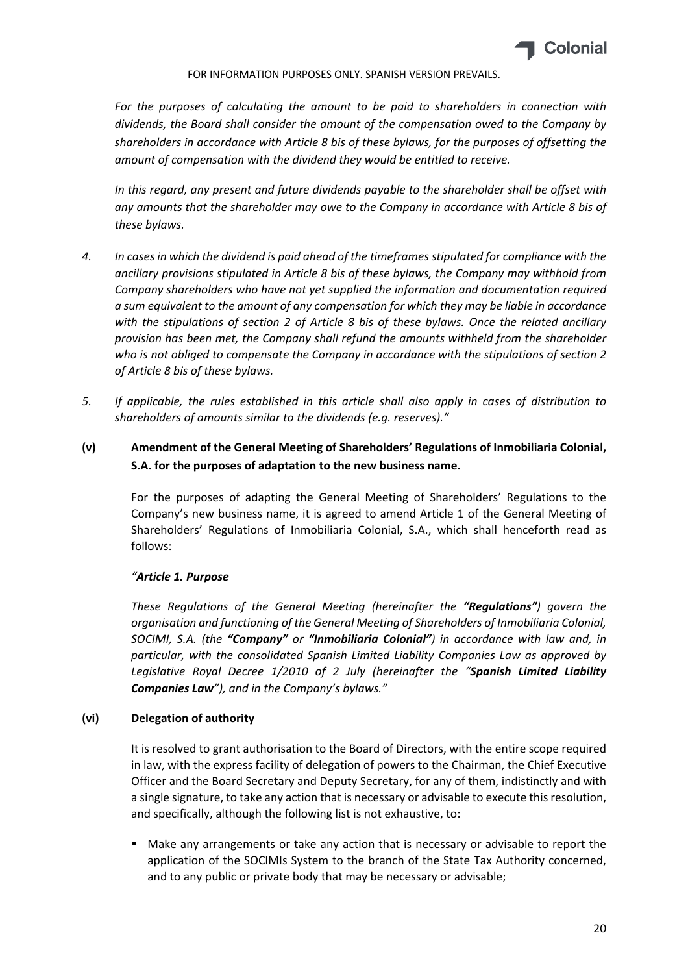

*For the purposes of calculating the amount to be paid to shareholders in connection with dividends, the Board shall consider the amount of the compensation owed to the Company by shareholders in accordance with Article 8 bis of these bylaws, for the purposes of offsetting the amount of compensation with the dividend they would be entitled to receive.*

*In this regard, any present and future dividends payable to the shareholder shall be offset with any amounts that the shareholder may owe to the Company in accordance with Article 8 bis of these bylaws.*

- 4. In cases in which the dividend is paid ahead of the timeframes stipulated for compliance with the *ancillary provisions stipulated in Article 8 bis of these bylaws, the Company may withhold from Company shareholders who have not yet supplied the information and documentation required a sum equivalent to the amount of any compensation for which they may be liable in accordance with the stipulations of section 2 of Article 8 bis of these bylaws. Once the related ancillary provision has been met, the Company shall refund the amounts withheld from the shareholder who is not obliged to compensate the Company in accordance with the stipulations of section 2 of Article 8 bis of these bylaws.*
- *5. If applicable, the rules established in this article shall also apply in cases of distribution to shareholders of amounts similar to the dividends (e.g. reserves)."*

# **(v) Amendment of the General Meeting of Shareholders' Regulations of Inmobiliaria Colonial, S.A. for the purposes of adaptation to the new business name.**

For the purposes of adapting the General Meeting of Shareholders' Regulations to the Company's new business name, it is agreed to amend Article 1 of the General Meeting of Shareholders' Regulations of Inmobiliaria Colonial, S.A., which shall henceforth read as follows:

# *"Article 1. Purpose*

*These Regulations of the General Meeting (hereinafter the "Regulations") govern the organisation and functioning of the General Meeting of Shareholders of Inmobiliaria Colonial, SOCIMI, S.A. (the "Company" or "Inmobiliaria Colonial") in accordance with law and, in particular, with the consolidated Spanish Limited Liability Companies Law as approved by Legislative Royal Decree 1/2010 of 2 July (hereinafter the "Spanish Limited Liability Companies Law"), and in the Company's bylaws."*

# **(vi) Delegation of authority**

It is resolved to grant authorisation to the Board of Directors, with the entire scope required in law, with the express facility of delegation of powers to the Chairman, the Chief Executive Officer and the Board Secretary and Deputy Secretary, for any of them, indistinctly and with a single signature, to take any action that is necessary or advisable to execute this resolution, and specifically, although the following list is not exhaustive, to:

 Make any arrangements or take any action that is necessary or advisable to report the application of the SOCIMIs System to the branch of the State Tax Authority concerned, and to any public or private body that may be necessary or advisable;